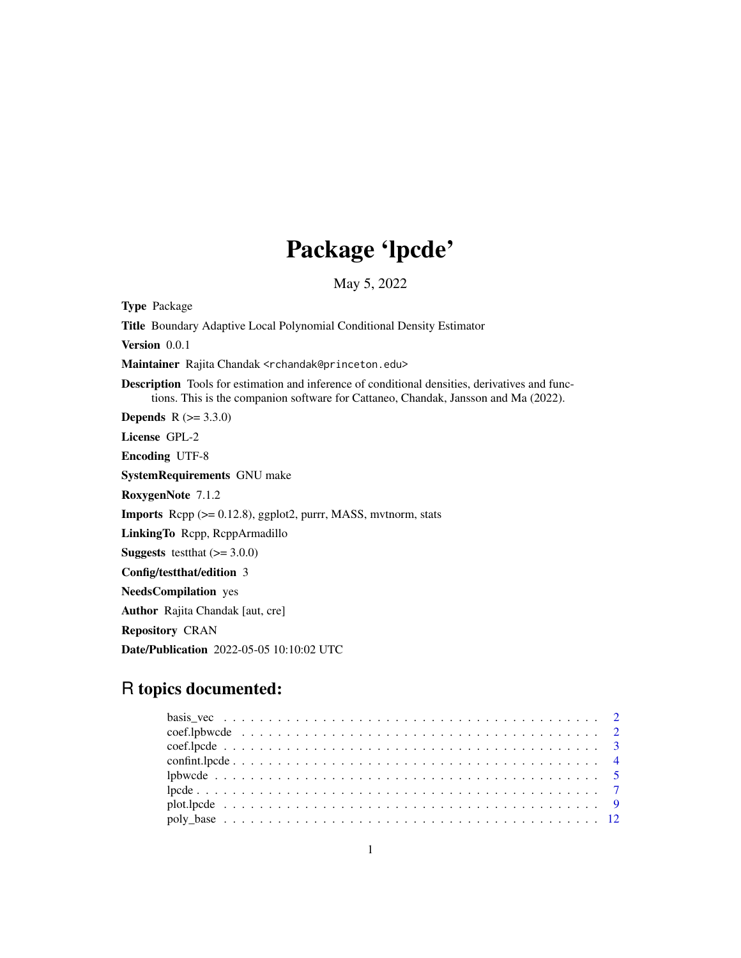# Package 'lpcde'

May 5, 2022

<span id="page-0-0"></span>Type Package Title Boundary Adaptive Local Polynomial Conditional Density Estimator Version 0.0.1 Maintainer Rajita Chandak <rchandak@princeton.edu> Description Tools for estimation and inference of conditional densities, derivatives and functions. This is the companion software for Cattaneo, Chandak, Jansson and Ma (2022). **Depends** R  $(>= 3.3.0)$ License GPL-2 Encoding UTF-8 SystemRequirements GNU make RoxygenNote 7.1.2 Imports Rcpp (>= 0.12.8), ggplot2, purrr, MASS, mvtnorm, stats LinkingTo Rcpp, RcppArmadillo **Suggests** testthat  $(>= 3.0.0)$ Config/testthat/edition 3 NeedsCompilation yes Author Rajita Chandak [aut, cre] Repository CRAN Date/Publication 2022-05-05 10:10:02 UTC

# R topics documented: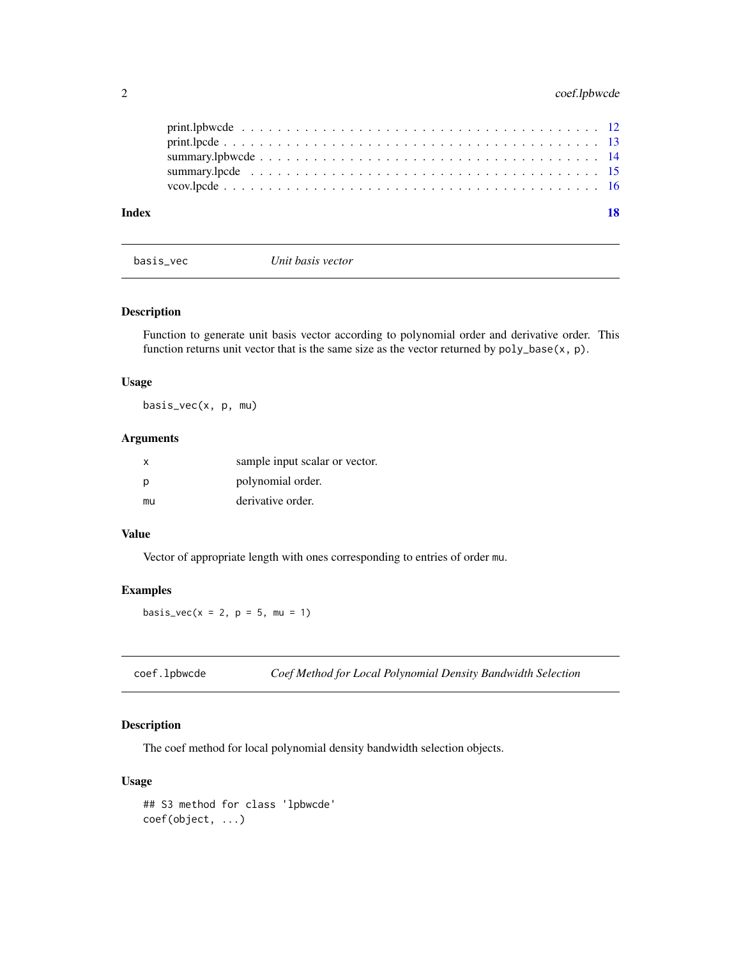<span id="page-1-0"></span>

| Index |  |
|-------|--|
|       |  |
|       |  |
|       |  |
|       |  |
|       |  |

basis\_vec *Unit basis vector*

### Description

Function to generate unit basis vector according to polynomial order and derivative order. This function returns unit vector that is the same size as the vector returned by poly\_base(x, p).

#### Usage

basis\_vec(x, p, mu)

### Arguments

| X   | sample input scalar or vector. |
|-----|--------------------------------|
| - p | polynomial order.              |
| mu  | derivative order.              |

# Value

Vector of appropriate length with ones corresponding to entries of order mu.

#### Examples

basis\_vec( $x = 2$ ,  $p = 5$ , mu = 1)

<span id="page-1-1"></span>

| coef.lpbwcde |  | Coef Method for Local Polynomial Density Bandwidth Selection |  |  |
|--------------|--|--------------------------------------------------------------|--|--|
|--------------|--|--------------------------------------------------------------|--|--|

### Description

The coef method for local polynomial density bandwidth selection objects.

#### Usage

```
## S3 method for class 'lpbwcde'
coef(object, ...)
```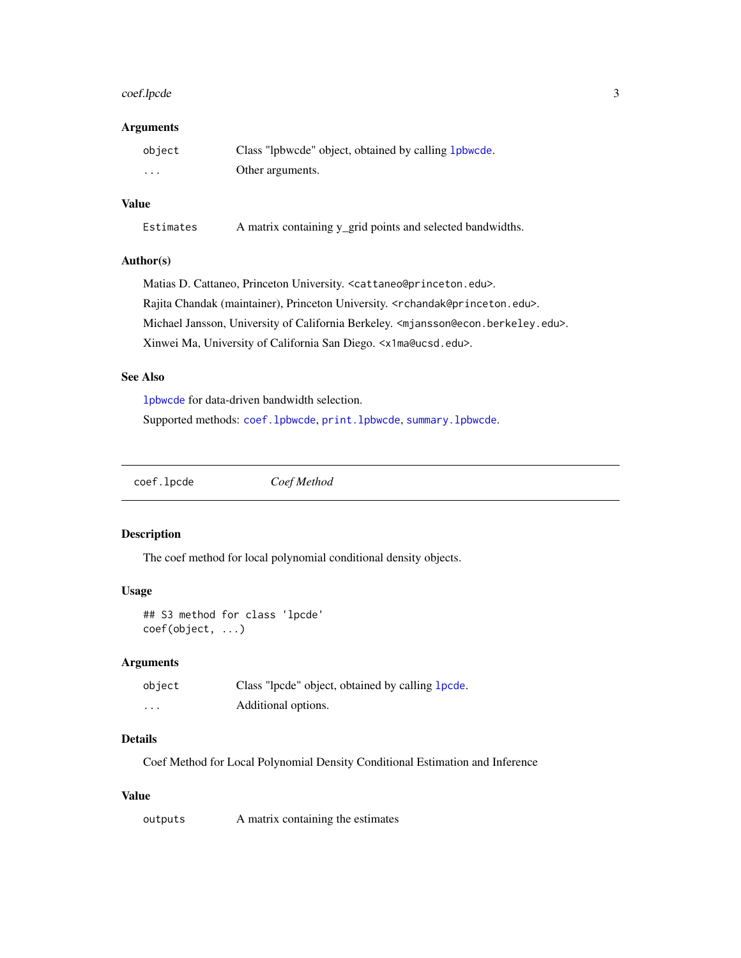### <span id="page-2-0"></span>coef.lpcde 3

#### Arguments

| object | Class "lpbwcde" object, obtained by calling 1 pbwcde. |
|--------|-------------------------------------------------------|
| .      | Other arguments.                                      |

#### Value

Estimates A matrix containing y\_grid points and selected bandwidths.

# Author(s)

Matias D. Cattaneo, Princeton University. <cattaneo@princeton.edu>. Rajita Chandak (maintainer), Princeton University. <rchandak@princeton.edu>. Michael Jansson, University of California Berkeley. <mjansson@econ.berkeley.edu>. Xinwei Ma, University of California San Diego. <x1ma@ucsd.edu>.

#### See Also

[lpbwcde](#page-4-1) for data-driven bandwidth selection. Supported methods: [coef.lpbwcde](#page-1-1), [print.lpbwcde](#page-11-1), [summary.lpbwcde](#page-13-1).

<span id="page-2-1"></span>coef.lpcde *Coef Method*

#### Description

The coef method for local polynomial conditional density objects.

### Usage

```
## S3 method for class 'lpcde'
coef(object, ...)
```
#### Arguments

| object  | Class "lpcde" object, obtained by calling 1 pcde. |
|---------|---------------------------------------------------|
| $\cdot$ | Additional options.                               |

# Details

Coef Method for Local Polynomial Density Conditional Estimation and Inference

#### Value

outputs A matrix containing the estimates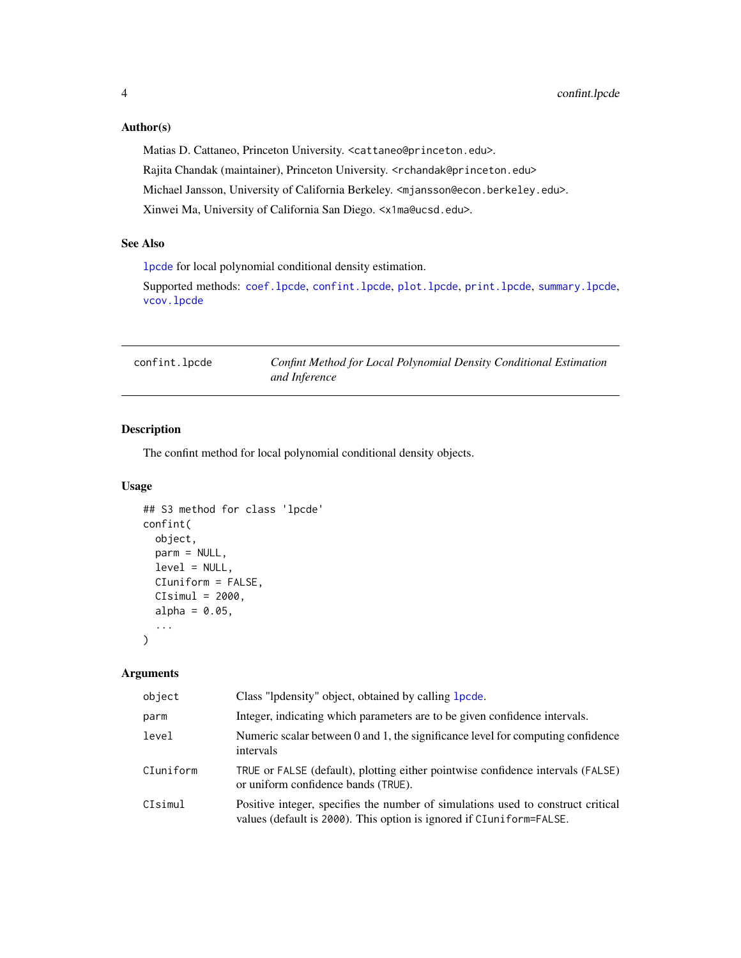#### <span id="page-3-0"></span>Author(s)

Matias D. Cattaneo, Princeton University. <cattaneo@princeton.edu>. Rajita Chandak (maintainer), Princeton University. <rchandak@princeton.edu> Michael Jansson, University of California Berkeley. <mjansson@econ.berkeley.edu>. Xinwei Ma, University of California San Diego. <x1ma@ucsd.edu>.

# See Also

[lpcde](#page-6-1) for local polynomial conditional density estimation.

Supported methods: [coef.lpcde](#page-2-1), [confint.lpcde](#page-3-1), [plot.lpcde](#page-8-1), [print.lpcde](#page-12-1), [summary.lpcde](#page-14-1), [vcov.lpcde](#page-15-1)

<span id="page-3-1"></span>confint.lpcde *Confint Method for Local Polynomial Density Conditional Estimation and Inference*

# Description

The confint method for local polynomial conditional density objects.

#### Usage

```
## S3 method for class 'lpcde'
confint(
  object,
  parm = NULL,
  level = NULL,CIuniform = FALSE,
  CIsimul = 2000,
  alpha = 0.05,
  ...
\mathcal{L}
```
#### Arguments

| object    | Class "lpdensity" object, obtained by calling 1 pcde.                                                                                                    |
|-----------|----------------------------------------------------------------------------------------------------------------------------------------------------------|
| parm      | Integer, indicating which parameters are to be given confidence intervals.                                                                               |
| level     | Numeric scalar between 0 and 1, the significance level for computing confidence<br>intervals                                                             |
| CIuniform | TRUE or FALSE (default), plotting either pointwise confidence intervals (FALSE)<br>or uniform confidence bands (TRUE).                                   |
| CIsimul   | Positive integer, specifies the number of simulations used to construct critical<br>values (default is 2000). This option is ignored if CIuniform=FALSE. |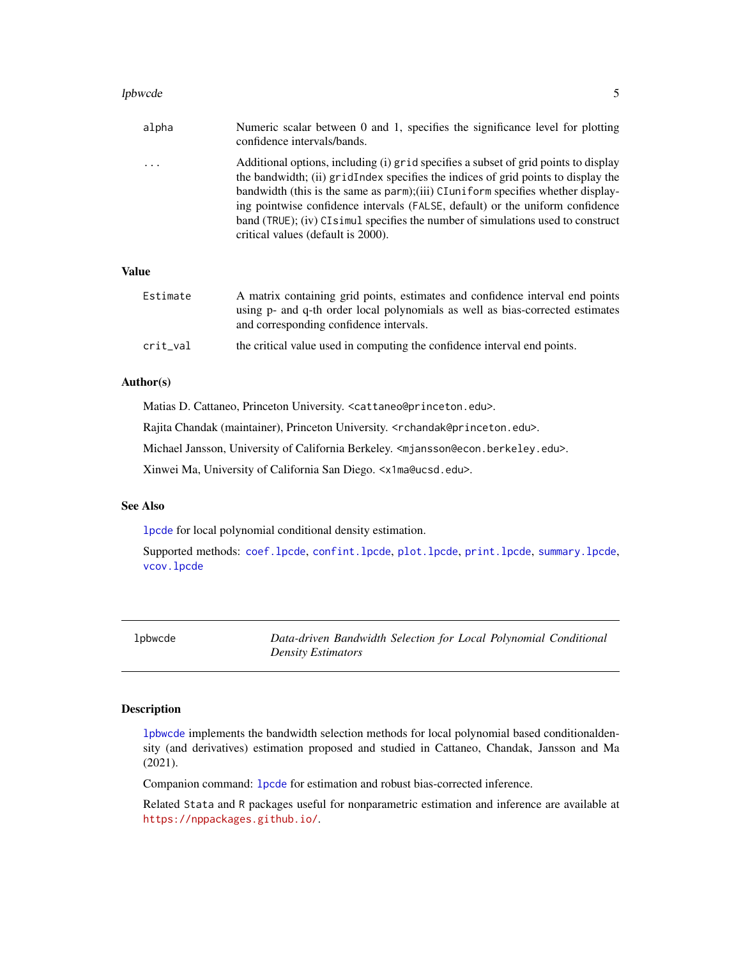#### <span id="page-4-0"></span>lpbwcde 55 and 55 and 55 and 55 and 55 and 55 and 55 and 55 and 55 and 55 and 55 and 55 and 55 and 55 and 55 and 55 and 55 and 55 and 55 and 55 and 55 and 55 and 55 and 55 and 55 and 55 and 55 and 55 and 55 and 55 and 55 a

| alpha        | Numeric scalar between 0 and 1, specifies the significance level for plotting<br>confidence intervals/bands.                                                                                                                                                                                                                                                                                                                                                             |
|--------------|--------------------------------------------------------------------------------------------------------------------------------------------------------------------------------------------------------------------------------------------------------------------------------------------------------------------------------------------------------------------------------------------------------------------------------------------------------------------------|
| $\cdots$     | Additional options, including (i) grid specifies a subset of grid points to display<br>the bandwidth; (ii) gridIndex specifies the indices of grid points to display the<br>bandwidth (this is the same as parm); (iii) CI uniform specifies whether display-<br>ing pointwise confidence intervals (FALSE, default) or the uniform confidence<br>band (TRUE); (iv) CI simul specifies the number of simulations used to construct<br>critical values (default is 2000). |
| <b>Value</b> |                                                                                                                                                                                                                                                                                                                                                                                                                                                                          |

| Estimate | A matrix containing grid points, estimates and confidence interval end points<br>using p- and q-th order local polynomials as well as bias-corrected estimates<br>and corresponding confidence intervals. |
|----------|-----------------------------------------------------------------------------------------------------------------------------------------------------------------------------------------------------------|
| crit_val | the critical value used in computing the confidence interval end points.                                                                                                                                  |

#### Author(s)

Matias D. Cattaneo, Princeton University. <cattaneo@princeton.edu>.

Rajita Chandak (maintainer), Princeton University. <rchandak@princeton.edu>.

Michael Jansson, University of California Berkeley. <mjansson@econ.berkeley.edu>.

Xinwei Ma, University of California San Diego. <x1ma@ucsd.edu>.

# See Also

[lpcde](#page-6-1) for local polynomial conditional density estimation.

Supported methods: [coef.lpcde](#page-2-1), [confint.lpcde](#page-3-1), [plot.lpcde](#page-8-1), [print.lpcde](#page-12-1), [summary.lpcde](#page-14-1), [vcov.lpcde](#page-15-1)

<span id="page-4-1"></span>lpbwcde *Data-driven Bandwidth Selection for Local Polynomial Conditional Density Estimators*

#### Description

[lpbwcde](#page-4-1) implements the bandwidth selection methods for local polynomial based conditionaldensity (and derivatives) estimation proposed and studied in Cattaneo, Chandak, Jansson and Ma (2021).

Companion command: [lpcde](#page-6-1) for estimation and robust bias-corrected inference.

Related Stata and R packages useful for nonparametric estimation and inference are available at <https://nppackages.github.io/>.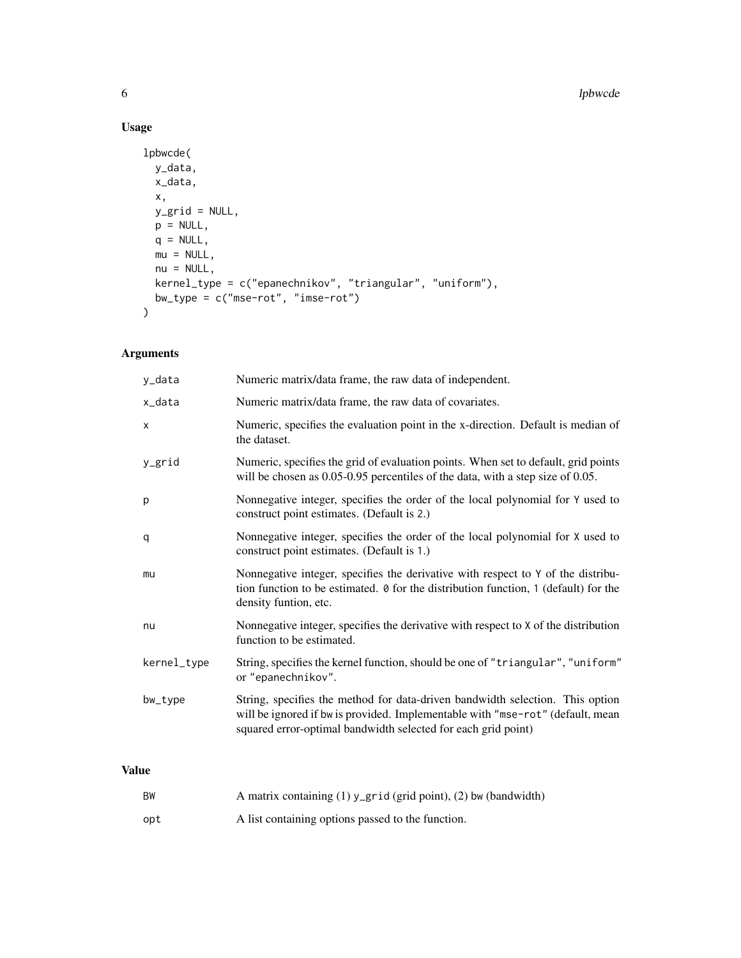# Usage

```
lpbwcde(
  y_data,
  x_data,
  x,
  y_grid = NULL,
  p = NULL,q = NULL,mu = NULL,nu = NULL,kernel_type = c("epanechnikov", "triangular", "uniform"),
  bw_type = c("mse-rot", "imse-rot")
\mathcal{L}
```
# Arguments

| Numeric matrix/data frame, the raw data of independent.                                                                                                                                                                          |
|----------------------------------------------------------------------------------------------------------------------------------------------------------------------------------------------------------------------------------|
| Numeric matrix/data frame, the raw data of covariates.                                                                                                                                                                           |
| Numeric, specifies the evaluation point in the x-direction. Default is median of<br>the dataset.                                                                                                                                 |
| Numeric, specifies the grid of evaluation points. When set to default, grid points<br>will be chosen as $0.05$ -0.95 percentiles of the data, with a step size of 0.05.                                                          |
| Nonnegative integer, specifies the order of the local polynomial for Y used to<br>construct point estimates. (Default is 2.)                                                                                                     |
| Nonnegative integer, specifies the order of the local polynomial for X used to<br>construct point estimates. (Default is 1.)                                                                                                     |
| Nonnegative integer, specifies the derivative with respect to Y of the distribu-<br>tion function to be estimated. $\theta$ for the distribution function, 1 (default) for the<br>density funtion, etc.                          |
| Nonnegative integer, specifies the derivative with respect to X of the distribution<br>function to be estimated.                                                                                                                 |
| String, specifies the kernel function, should be one of "triangular", "uniform"<br>or "epanechnikov".                                                                                                                            |
| String, specifies the method for data-driven bandwidth selection. This option<br>will be ignored if bw is provided. Implementable with "mse-rot" (default, mean<br>squared error-optimal bandwidth selected for each grid point) |
|                                                                                                                                                                                                                                  |

### Value

| BW  | A matrix containing (1) y_grid (grid point), (2) bw (bandwidth) |
|-----|-----------------------------------------------------------------|
| opt | A list containing options passed to the function.               |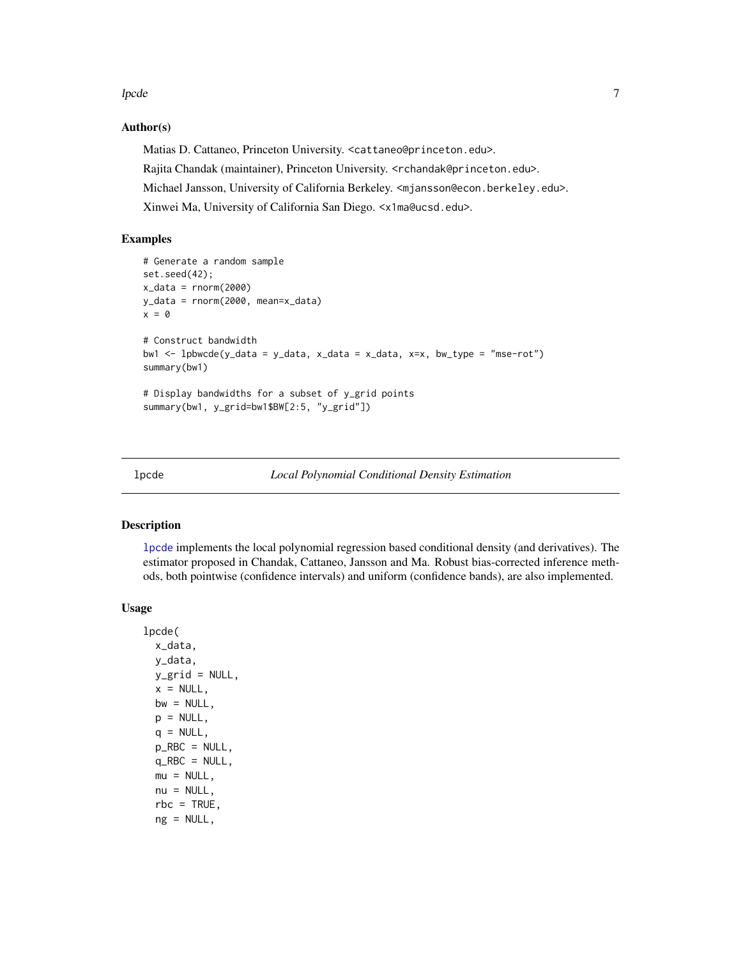<span id="page-6-0"></span>lpcde to the contract of the contract of the contract of the contract of the contract of the contract of the contract of the contract of the contract of the contract of the contract of the contract of the contract of the c

#### Author(s)

Matias D. Cattaneo, Princeton University. <cattaneo@princeton.edu>. Rajita Chandak (maintainer), Princeton University. <rchandak@princeton.edu>. Michael Jansson, University of California Berkeley. <mjansson@econ.berkeley.edu>. Xinwei Ma, University of California San Diego. <x1ma@ucsd.edu>.

# Examples

```
# Generate a random sample
set.seed(42);
x_data = rnorm(2000)y_data = rnorm(2000, mean=x_data)
x = 0# Construct bandwidth
bw1 <- lpbwcde(y_data = y_data, x_data = x_data, x=x, bw_type = "mse-rot")
summary(bw1)
# Display bandwidths for a subset of y_grid points
summary(bw1, y_grid=bw1$BW[2:5, "y_grid"])
```
<span id="page-6-1"></span>

#### Description

[lpcde](#page-6-1) implements the local polynomial regression based conditional density (and derivatives). The estimator proposed in Chandak, Cattaneo, Jansson and Ma. Robust bias-corrected inference methods, both pointwise (confidence intervals) and uniform (confidence bands), are also implemented.

#### Usage

```
lpcde(
  x_data,
  y_data,
  y_{\text{grid}} = NULL,
  x = NULL,bw = NULL,p = NULL,q = NULL,p<sub>RBC</sub> = NULL,
  q<sub>-RBC</sub> = NULL,
  mu = NULL,
  nu = NULL,rbc = TRUE,
  ng = NULL,
```
lpcde *Local Polynomial Conditional Density Estimation*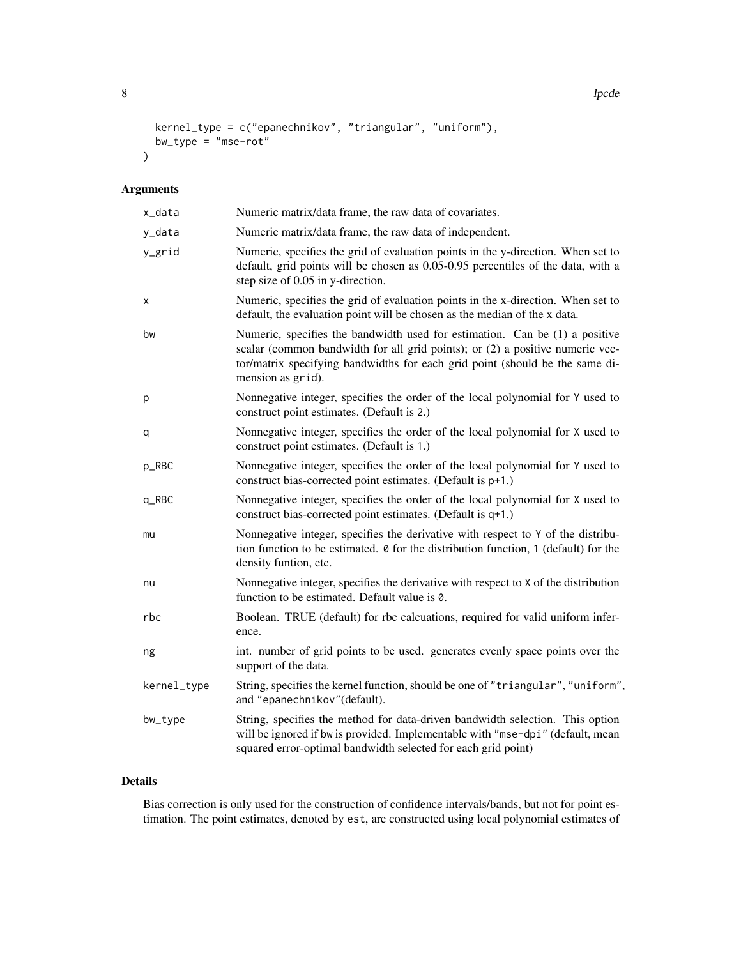```
8 lpcde and the second state of the second state of the second state of the second state of the second state of the second state \sim
```

```
kernel_type = c("epanechnikov", "triangular", "uniform"),
 bw_type = "mse-rot"\mathcal{L}
```
# Arguments

| x_data                          | Numeric matrix/data frame, the raw data of covariates.                                                                                                                                                                                                            |
|---------------------------------|-------------------------------------------------------------------------------------------------------------------------------------------------------------------------------------------------------------------------------------------------------------------|
| y_data                          | Numeric matrix/data frame, the raw data of independent.                                                                                                                                                                                                           |
| y_grid                          | Numeric, specifies the grid of evaluation points in the y-direction. When set to<br>default, grid points will be chosen as 0.05-0.95 percentiles of the data, with a<br>step size of 0.05 in y-direction.                                                         |
| х                               | Numeric, specifies the grid of evaluation points in the x-direction. When set to<br>default, the evaluation point will be chosen as the median of the x data.                                                                                                     |
| bw                              | Numeric, specifies the bandwidth used for estimation. Can be (1) a positive<br>scalar (common bandwidth for all grid points); or (2) a positive numeric vec-<br>tor/matrix specifying bandwidths for each grid point (should be the same di-<br>mension as grid). |
| p                               | Nonnegative integer, specifies the order of the local polynomial for Y used to<br>construct point estimates. (Default is 2.)                                                                                                                                      |
| q                               | Nonnegative integer, specifies the order of the local polynomial for X used to<br>construct point estimates. (Default is 1.)                                                                                                                                      |
| p_RBC                           | Nonnegative integer, specifies the order of the local polynomial for Y used to<br>construct bias-corrected point estimates. (Default is p+1.)                                                                                                                     |
| $q$ <sub><math>RBC</math></sub> | Nonnegative integer, specifies the order of the local polynomial for X used to<br>construct bias-corrected point estimates. (Default is q+1.)                                                                                                                     |
| mu                              | Nonnegative integer, specifies the derivative with respect to Y of the distribu-<br>tion function to be estimated. 0 for the distribution function, 1 (default) for the<br>density funtion, etc.                                                                  |
| nu                              | Nonnegative integer, specifies the derivative with respect to X of the distribution<br>function to be estimated. Default value is 0.                                                                                                                              |
| rbc                             | Boolean. TRUE (default) for rbc calcuations, required for valid uniform infer-<br>ence.                                                                                                                                                                           |
| ng                              | int. number of grid points to be used. generates evenly space points over the<br>support of the data.                                                                                                                                                             |
| kernel_type                     | String, specifies the kernel function, should be one of "triangular", "uniform",<br>and "epanechnikov"(default).                                                                                                                                                  |
| bw_type                         | String, specifies the method for data-driven bandwidth selection. This option<br>will be ignored if bw is provided. Implementable with "mse-dpi" (default, mean<br>squared error-optimal bandwidth selected for each grid point)                                  |

# Details

Bias correction is only used for the construction of confidence intervals/bands, but not for point estimation. The point estimates, denoted by est, are constructed using local polynomial estimates of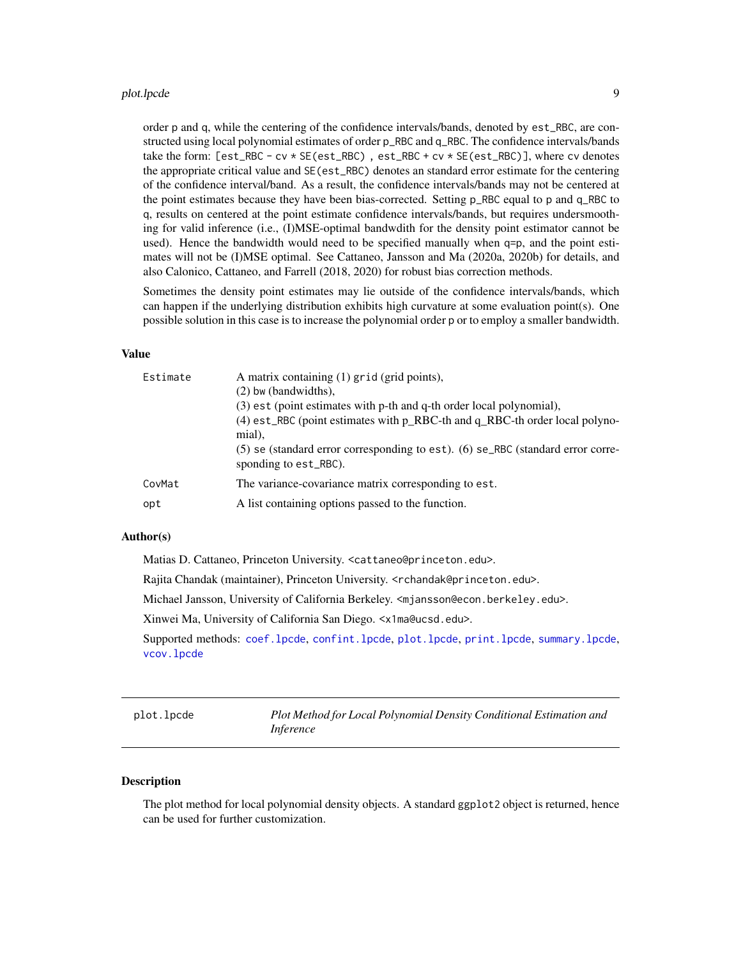#### <span id="page-8-0"></span>plot.lpcde 9

order p and q, while the centering of the confidence intervals/bands, denoted by est\_RBC, are constructed using local polynomial estimates of order p\_RBC and q\_RBC. The confidence intervals/bands take the form: [est\_RBC - cv \* SE(est\_RBC) , est\_RBC + cv \* SE(est\_RBC)], where cv denotes the appropriate critical value and SE(est\_RBC) denotes an standard error estimate for the centering of the confidence interval/band. As a result, the confidence intervals/bands may not be centered at the point estimates because they have been bias-corrected. Setting p\_RBC equal to p and q\_RBC to q, results on centered at the point estimate confidence intervals/bands, but requires undersmoothing for valid inference (i.e., (I)MSE-optimal bandwdith for the density point estimator cannot be used). Hence the bandwidth would need to be specified manually when q=p, and the point estimates will not be (I)MSE optimal. See Cattaneo, Jansson and Ma (2020a, 2020b) for details, and also Calonico, Cattaneo, and Farrell (2018, 2020) for robust bias correction methods.

Sometimes the density point estimates may lie outside of the confidence intervals/bands, which can happen if the underlying distribution exhibits high curvature at some evaluation point(s). One possible solution in this case is to increase the polynomial order p or to employ a smaller bandwidth.

#### Value

| Estimate | A matrix containing (1) grid (grid points),<br>$(2)$ bw (bandwidths),<br>(3) est (point estimates with p-th and q-th order local polynomial),<br>$(4)$ est_RBC (point estimates with $p$ _RBC-th and $q$ _RBC-th order local polyno-<br>mial),<br>$(5)$ se (standard error corresponding to est). $(6)$ se_RBC (standard error corre-<br>sponding to est_RBC). |
|----------|----------------------------------------------------------------------------------------------------------------------------------------------------------------------------------------------------------------------------------------------------------------------------------------------------------------------------------------------------------------|
| CovMat   | The variance-covariance matrix corresponding to est.                                                                                                                                                                                                                                                                                                           |
| opt      | A list containing options passed to the function.                                                                                                                                                                                                                                                                                                              |

#### Author(s)

Matias D. Cattaneo, Princeton University. <cattaneo@princeton.edu>.

Rajita Chandak (maintainer), Princeton University. <rchandak@princeton.edu>.

Michael Jansson, University of California Berkeley. <mjansson@econ.berkeley.edu>.

Xinwei Ma, University of California San Diego. <x1ma@ucsd.edu>.

Supported methods: [coef.lpcde](#page-2-1), [confint.lpcde](#page-3-1), [plot.lpcde](#page-8-1), [print.lpcde](#page-12-1), [summary.lpcde](#page-14-1), [vcov.lpcde](#page-15-1)

<span id="page-8-1"></span>plot.lpcde *Plot Method for Local Polynomial Density Conditional Estimation and Inference*

#### **Description**

The plot method for local polynomial density objects. A standard ggplot2 object is returned, hence can be used for further customization.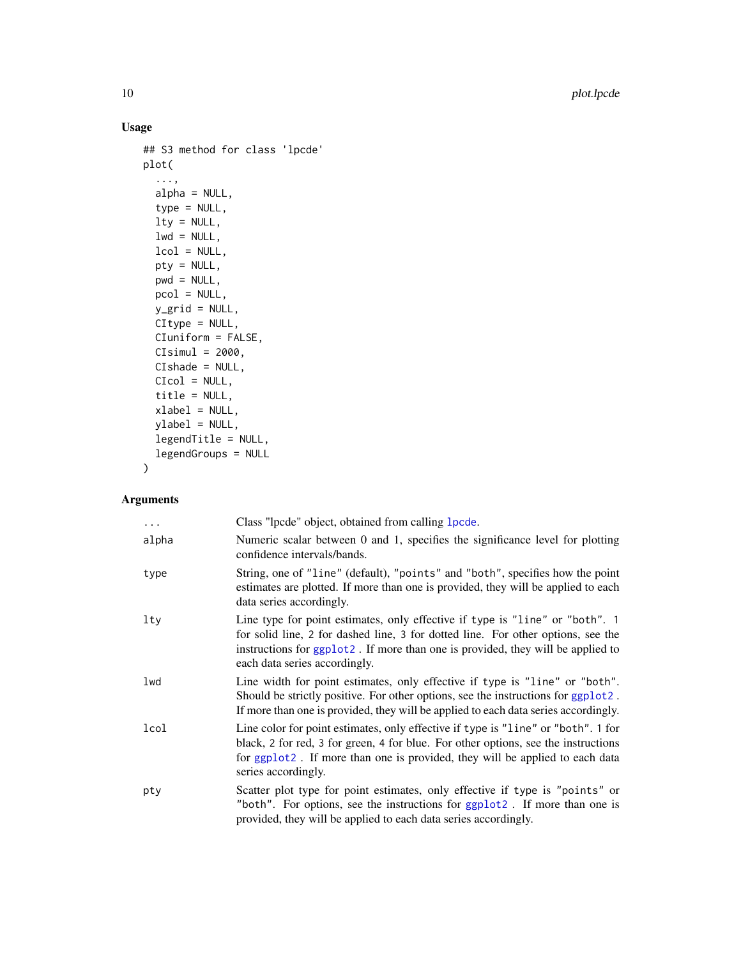# Usage

```
## S3 method for class 'lpcde'
plot(
  ...,
 alpha = NULL,
  type = NULL,
 lty = NULL,
 lwd = NULL,lcol = NULL,
 pty = NULL,
 pwd = NULL,pcol = NULL,
 y_grid = NULL,
 CItype = NULL,
 CIuniform = FALSE,
 CIsimul = 2000,CIshade = NULL,
 CIcol = NULL,
 title = NULL,
 xlabel = NULL,ylabel = NULL,
 legendTitle = NULL,
 legendGroups = NULL
```

```
\mathcal{L}
```
# Arguments

| $\ddots$ | Class "lpcde" object, obtained from calling 1 pcde.                                                                                                                                                                                                                                  |
|----------|--------------------------------------------------------------------------------------------------------------------------------------------------------------------------------------------------------------------------------------------------------------------------------------|
| alpha    | Numeric scalar between 0 and 1, specifies the significance level for plotting<br>confidence intervals/bands.                                                                                                                                                                         |
| type     | String, one of "line" (default), "points" and "both", specifies how the point<br>estimates are plotted. If more than one is provided, they will be applied to each<br>data series accordingly.                                                                                       |
| lty      | Line type for point estimates, only effective if type is "line" or "both". 1<br>for solid line, 2 for dashed line, 3 for dotted line. For other options, see the<br>instructions for ggplot2. If more than one is provided, they will be applied to<br>each data series accordingly. |
| lwd      | Line width for point estimates, only effective if type is "line" or "both".<br>Should be strictly positive. For other options, see the instructions for ggplot2.<br>If more than one is provided, they will be applied to each data series accordingly.                              |
| lcol     | Line color for point estimates, only effective if type is "line" or "both". 1 for<br>black, 2 for red, 3 for green, 4 for blue. For other options, see the instructions<br>for ggplot2. If more than one is provided, they will be applied to each data<br>series accordingly.       |
| pty      | Scatter plot type for point estimates, only effective if type is "points" or<br>"both". For options, see the instructions for ggplot2. If more than one is<br>provided, they will be applied to each data series accordingly.                                                        |

<span id="page-9-0"></span>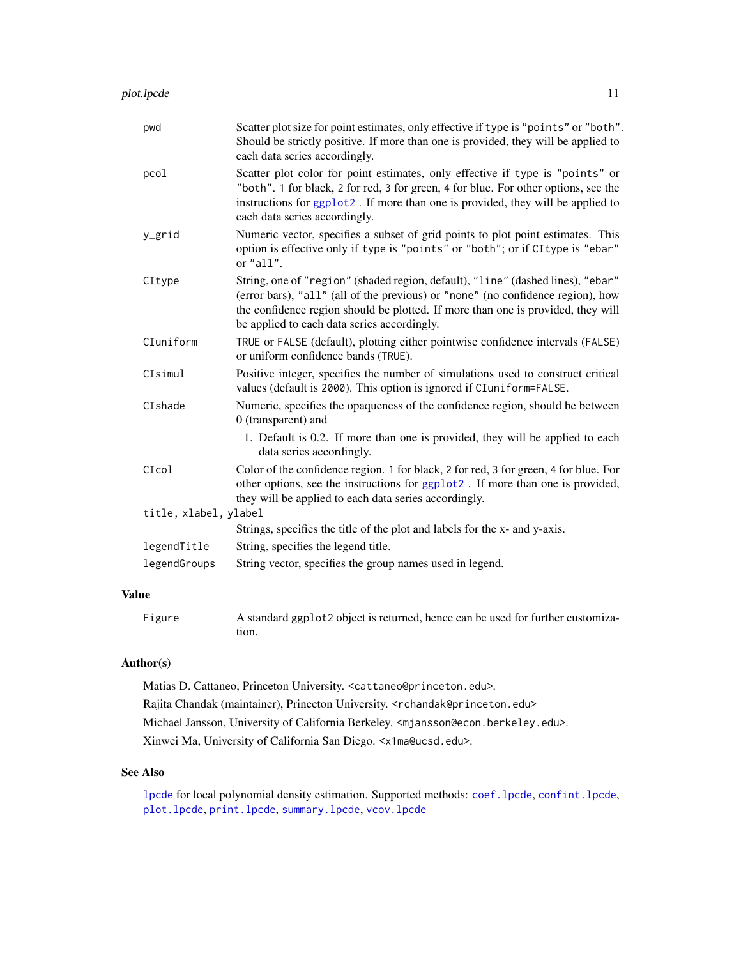<span id="page-10-0"></span>

| Scatter plot size for point estimates, only effective if type is "points" or "both".<br>Should be strictly positive. If more than one is provided, they will be applied to<br>each data series accordingly.                                                                                           |
|-------------------------------------------------------------------------------------------------------------------------------------------------------------------------------------------------------------------------------------------------------------------------------------------------------|
| Scatter plot color for point estimates, only effective if type is "points" or<br>"both". 1 for black, 2 for red, 3 for green, 4 for blue. For other options, see the<br>instructions for ggplot2. If more than one is provided, they will be applied to<br>each data series accordingly.              |
| Numeric vector, specifies a subset of grid points to plot point estimates. This<br>option is effective only if type is "points" or "both"; or if CI type is "ebar"<br>or "all".                                                                                                                       |
| String, one of "region" (shaded region, default), "line" (dashed lines), "ebar"<br>(error bars), "all" (all of the previous) or "none" (no confidence region), how<br>the confidence region should be plotted. If more than one is provided, they will<br>be applied to each data series accordingly. |
| TRUE or FALSE (default), plotting either pointwise confidence intervals (FALSE)<br>or uniform confidence bands (TRUE).                                                                                                                                                                                |
| Positive integer, specifies the number of simulations used to construct critical<br>values (default is 2000). This option is ignored if CIuniform=FALSE.                                                                                                                                              |
| Numeric, specifies the opaqueness of the confidence region, should be between<br>0 (transparent) and                                                                                                                                                                                                  |
| 1. Default is 0.2. If more than one is provided, they will be applied to each<br>data series accordingly.                                                                                                                                                                                             |
| Color of the confidence region. 1 for black, 2 for red, 3 for green, 4 for blue. For<br>other options, see the instructions for ggplot2. If more than one is provided,<br>they will be applied to each data series accordingly.                                                                       |
| title, xlabel, ylabel                                                                                                                                                                                                                                                                                 |
| Strings, specifies the title of the plot and labels for the x- and y-axis.                                                                                                                                                                                                                            |
| String, specifies the legend title.                                                                                                                                                                                                                                                                   |
| String vector, specifies the group names used in legend.                                                                                                                                                                                                                                              |
|                                                                                                                                                                                                                                                                                                       |

#### Value

| Figure | A standard ggplot2 object is returned, hence can be used for further customiza- |
|--------|---------------------------------------------------------------------------------|
|        | tion.                                                                           |

#### Author(s)

Matias D. Cattaneo, Princeton University. <cattaneo@princeton.edu>. Rajita Chandak (maintainer), Princeton University. <rchandak@princeton.edu> Michael Jansson, University of California Berkeley. <mjansson@econ.berkeley.edu>. Xinwei Ma, University of California San Diego. <x1ma@ucsd.edu>.

# See Also

[lpcde](#page-6-1) for local polynomial density estimation. Supported methods: [coef.lpcde](#page-2-1), [confint.lpcde](#page-3-1), [plot.lpcde](#page-8-1), [print.lpcde](#page-12-1), [summary.lpcde](#page-14-1), [vcov.lpcde](#page-15-1)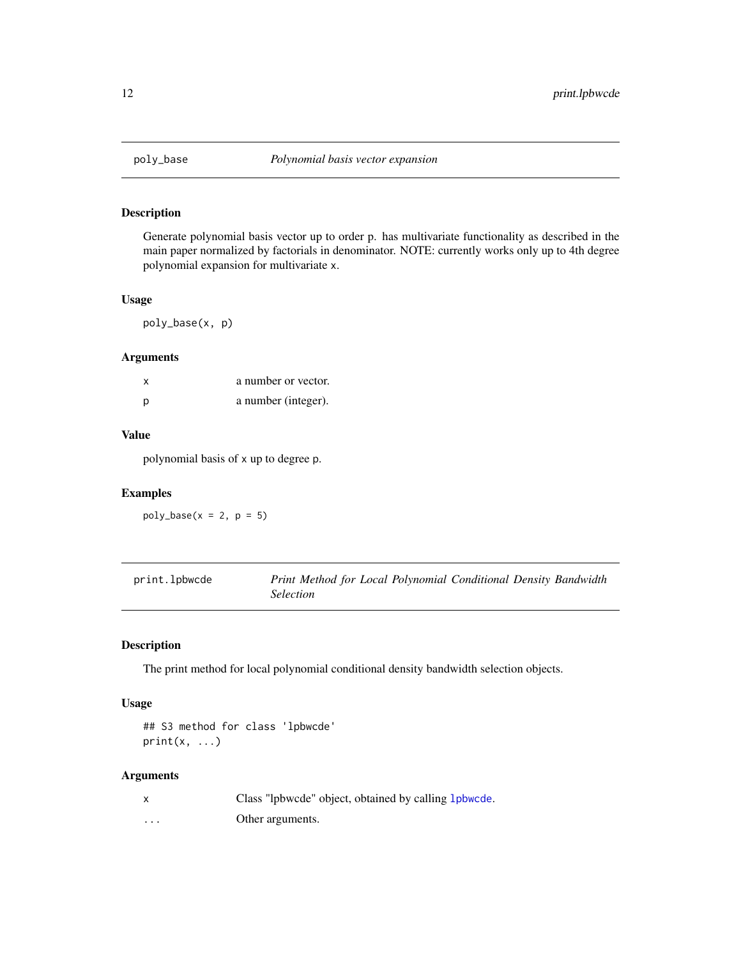<span id="page-11-0"></span>

# Description

Generate polynomial basis vector up to order p. has multivariate functionality as described in the main paper normalized by factorials in denominator. NOTE: currently works only up to 4th degree polynomial expansion for multivariate x.

#### Usage

poly\_base(x, p)

#### Arguments

| X | a number or vector. |
|---|---------------------|
| p | a number (integer). |

#### Value

polynomial basis of x up to degree p.

# Examples

 $poly\_base(x = 2, p = 5)$ 

<span id="page-11-1"></span>

| print.lpbwcde | Print Method for Local Polynomial Conditional Density Bandwidth |
|---------------|-----------------------------------------------------------------|
|               | <i>Selection</i>                                                |

# Description

The print method for local polynomial conditional density bandwidth selection objects.

#### Usage

```
## S3 method for class 'lpbwcde'
print(x, \ldots)
```
#### Arguments

|   | Class "lpbwcde" object, obtained by calling 1 pbwcde. |
|---|-------------------------------------------------------|
| . | Other arguments.                                      |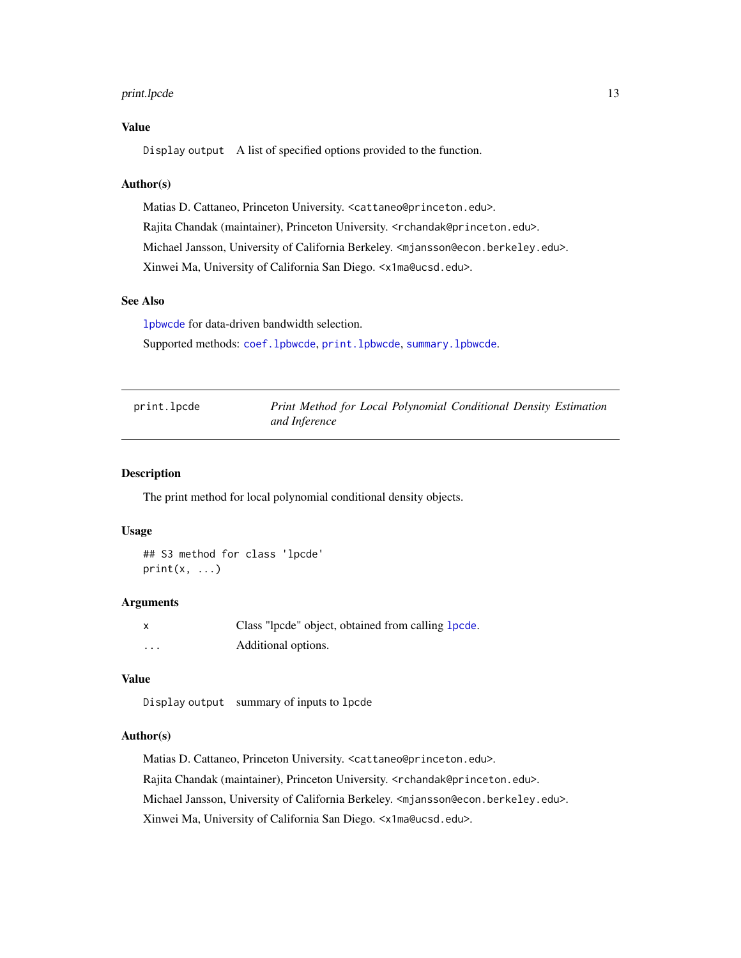### <span id="page-12-0"></span>print.lpcde 13

#### Value

Display output A list of specified options provided to the function.

#### Author(s)

Matias D. Cattaneo, Princeton University. <cattaneo@princeton.edu>. Rajita Chandak (maintainer), Princeton University. <rchandak@princeton.edu>. Michael Jansson, University of California Berkeley. <mjansson@econ.berkeley.edu>. Xinwei Ma, University of California San Diego. <x1ma@ucsd.edu>.

#### See Also

[lpbwcde](#page-4-1) for data-driven bandwidth selection.

Supported methods: [coef.lpbwcde](#page-1-1), [print.lpbwcde](#page-11-1), [summary.lpbwcde](#page-13-1).

<span id="page-12-1"></span>print.lpcde *Print Method for Local Polynomial Conditional Density Estimation and Inference*

#### Description

The print method for local polynomial conditional density objects.

#### Usage

```
## S3 method for class 'lpcde'
print(x, \ldots)
```
#### Arguments

| x | Class "lpcde" object, obtained from calling lpcde. |
|---|----------------------------------------------------|
| . | Additional options.                                |

#### Value

Display output summary of inputs to lpcde

#### Author(s)

Matias D. Cattaneo, Princeton University. <cattaneo@princeton.edu>. Rajita Chandak (maintainer), Princeton University. <rchandak@princeton.edu>. Michael Jansson, University of California Berkeley. <mjansson@econ.berkeley.edu>. Xinwei Ma, University of California San Diego. <x1ma@ucsd.edu>.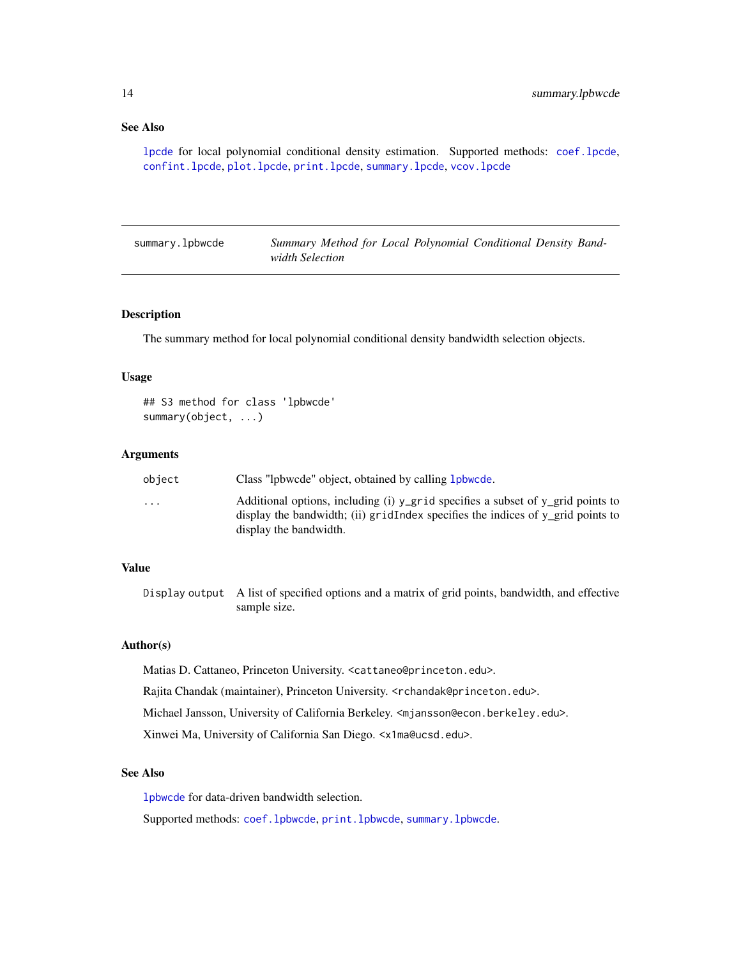#### <span id="page-13-0"></span>See Also

[lpcde](#page-6-1) for local polynomial conditional density estimation. Supported methods: [coef.lpcde](#page-2-1), [confint.lpcde](#page-3-1), [plot.lpcde](#page-8-1), [print.lpcde](#page-12-1), [summary.lpcde](#page-14-1), [vcov.lpcde](#page-15-1)

<span id="page-13-1"></span>summary.lpbwcde *Summary Method for Local Polynomial Conditional Density Bandwidth Selection*

#### Description

The summary method for local polynomial conditional density bandwidth selection objects.

#### Usage

```
## S3 method for class 'lpbwcde'
summary(object, ...)
```
#### Arguments

| object                  | Class "lpbwcde" object, obtained by calling 1 pbwcde.                                                                                                                                        |
|-------------------------|----------------------------------------------------------------------------------------------------------------------------------------------------------------------------------------------|
| $\cdot$ $\cdot$ $\cdot$ | Additional options, including (i) y_grid specifies a subset of y_grid points to<br>display the bandwidth; (ii) gridIndex specifies the indices of y grid points to<br>display the bandwidth. |

#### Value

Display output A list of specified options and a matrix of grid points, bandwidth, and effective sample size.

#### Author(s)

Matias D. Cattaneo, Princeton University. <cattaneo@princeton.edu>.

Rajita Chandak (maintainer), Princeton University. <rchandak@princeton.edu>.

Michael Jansson, University of California Berkeley. <mjansson@econ.berkeley.edu>.

Xinwei Ma, University of California San Diego. <x1ma@ucsd.edu>.

#### See Also

[lpbwcde](#page-4-1) for data-driven bandwidth selection.

Supported methods: [coef.lpbwcde](#page-1-1), [print.lpbwcde](#page-11-1), [summary.lpbwcde](#page-13-1).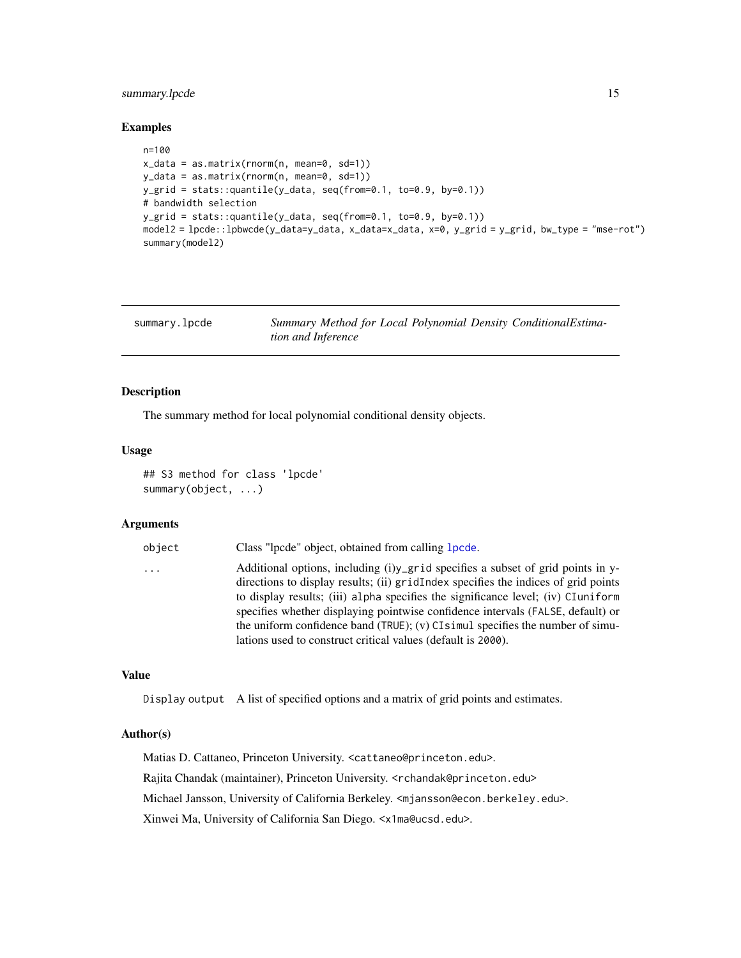### <span id="page-14-0"></span>summary.lpcde 15

#### Examples

```
n=100
x_data = as.matrix(rnorm(n, mean=0, sd=1))
y_data = as.matrix(rnorm(n, mean=0, sd=1))
y_grid = stats::quantile(y_data, seq(from=0.1, to=0.9, by=0.1))
# bandwidth selection
y_grid = stats::quantile(y_data, seq(from=0.1, to=0.9, by=0.1))
model2 = lpcde::lpbwcde(y_data=y_data, x_data=x_data, x=0, y_grid = y_grid, bw_type = "mse-rot")
summary(model2)
```
<span id="page-14-1"></span>

| summary.lpcde | Summary Method for Local Polynomial Density ConditionalEstima- |
|---------------|----------------------------------------------------------------|
|               | <i>tion and Inference</i>                                      |

#### Description

The summary method for local polynomial conditional density objects.

#### Usage

```
## S3 method for class 'lpcde'
summary(object, ...)
```
#### Arguments

| object | Class "lpcde" object, obtained from calling <b>lpcde</b> .                                                                                                                                                                                                                                                                                                                                                                       |
|--------|----------------------------------------------------------------------------------------------------------------------------------------------------------------------------------------------------------------------------------------------------------------------------------------------------------------------------------------------------------------------------------------------------------------------------------|
| .      | Additional options, including $(i)y$ grid specifies a subset of grid points in y-<br>directions to display results; (ii) gridIndex specifies the indices of grid points<br>to display results; (iii) alpha specifies the significance level; (iv) CIuniform<br>specifies whether displaying pointwise confidence intervals (FALSE, default) or<br>the uniform confidence band (TRUE); (v) CI simul specifies the number of simu- |
|        | lations used to construct critical values (default is 2000).                                                                                                                                                                                                                                                                                                                                                                     |

#### Value

Display output A list of specified options and a matrix of grid points and estimates.

#### Author(s)

Matias D. Cattaneo, Princeton University. <cattaneo@princeton.edu>. Rajita Chandak (maintainer), Princeton University. <rchandak@princeton.edu> Michael Jansson, University of California Berkeley. <mjansson@econ.berkeley.edu>. Xinwei Ma, University of California San Diego. <x1ma@ucsd.edu>.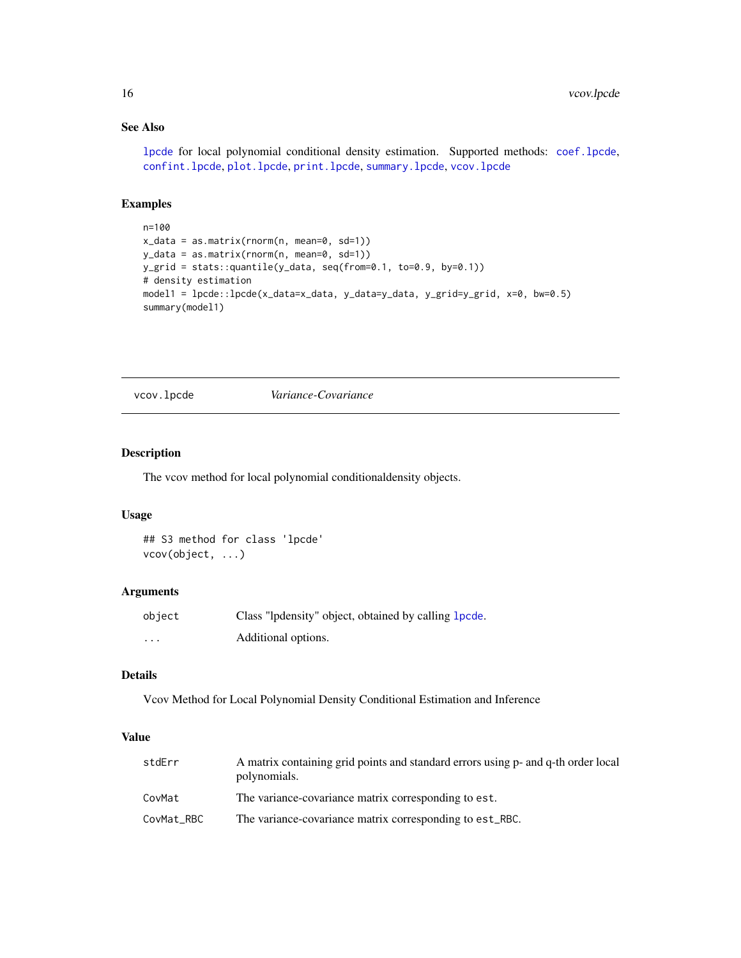#### See Also

[lpcde](#page-6-1) for local polynomial conditional density estimation. Supported methods: [coef.lpcde](#page-2-1), [confint.lpcde](#page-3-1), [plot.lpcde](#page-8-1), [print.lpcde](#page-12-1), [summary.lpcde](#page-14-1), [vcov.lpcde](#page-15-1)

#### Examples

```
n=100
x_data = as.matrix(rnorm(n, mean=0, sd=1))
y_data = as.matrix(rnorm(n, mean=0, sd=1))
y_grid = stats::quantile(y_data, seq(from=0.1, to=0.9, by=0.1))
# density estimation
model1 = lpcde::lpcde(x_data=x_data, y_data=y_data, y_grid=y_grid, x=0, bw=0.5)
summary(model1)
```
<span id="page-15-1"></span>vcov.lpcde *Variance-Covariance*

### Description

The vcov method for local polynomial conditionaldensity objects.

#### Usage

## S3 method for class 'lpcde' vcov(object, ...)

### Arguments

| object   | Class "lpdensity" object, obtained by calling 1 pcde. |
|----------|-------------------------------------------------------|
| $\cdots$ | Additional options.                                   |

#### Details

Vcov Method for Local Polynomial Density Conditional Estimation and Inference

#### Value

| stdErr     | A matrix containing grid points and standard errors using p- and q-th order local<br>polynomials. |
|------------|---------------------------------------------------------------------------------------------------|
| CovMat     | The variance-covariance matrix corresponding to est.                                              |
| CovMat RBC | The variance-covariance matrix corresponding to est_RBC.                                          |

<span id="page-15-0"></span>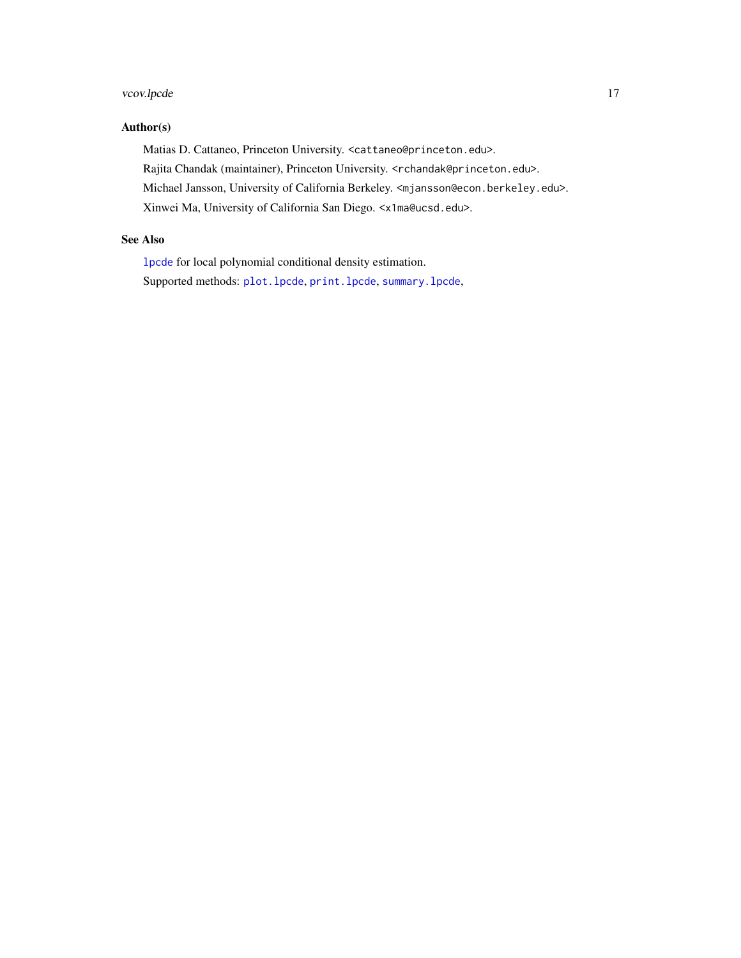### <span id="page-16-0"></span>vcov.lpcde 17

# Author(s)

Matias D. Cattaneo, Princeton University. <cattaneo@princeton.edu>. Rajita Chandak (maintainer), Princeton University. <rchandak@princeton.edu>. Michael Jansson, University of California Berkeley. <mjansson@econ.berkeley.edu>. Xinwei Ma, University of California San Diego. <x1ma@ucsd.edu>.

# See Also

[lpcde](#page-6-1) for local polynomial conditional density estimation. Supported methods: [plot.lpcde](#page-8-1), [print.lpcde](#page-12-1), [summary.lpcde](#page-14-1),